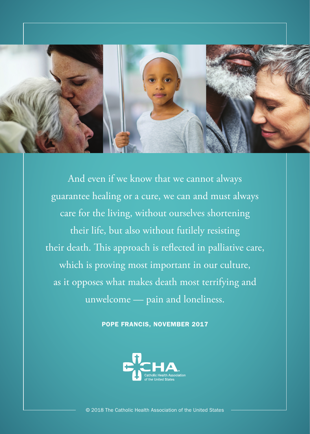

And even if we know that we cannot always guarantee healing or a cure, we can and must always care for the living, without ourselves shortening their life, but also without futilely resisting their death. This approach is reflected in palliative care, which is proving most important in our culture, as it opposes what makes death most terrifying and unwelcome — pain and loneliness.

POPE FRANCIS, NOVEMBER 2017



© 2018 The Catholic Health Association of the United States